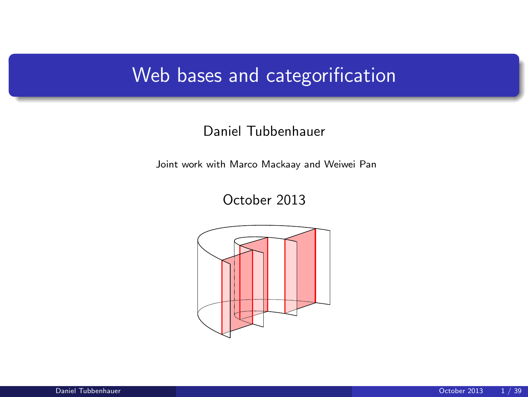# Web bases and categorification

#### Daniel Tubbenhauer

Joint work with Marco Mackaay and Weiwei Pan

October 2013

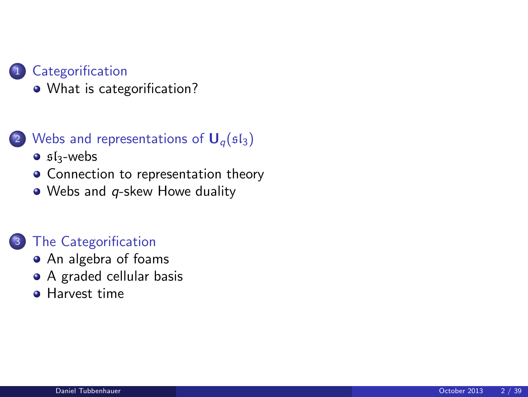#### **[Categorification](#page-2-0)**

[What is categorification?](#page-2-0)

#### 2 [Webs and representations of](#page-4-0)  $U_q(s_1)$

- $\bullet$  sl<sub>3</sub>[-webs](#page-4-0)
- [Connection to representation theory](#page-7-0)
- Webs and *q*[-skew Howe duality](#page-10-0)

#### [The Categorification](#page-21-0)

- [An algebra of foams](#page-21-0)
- [A graded cellular basis](#page-28-0)
- **[Harvest time](#page-36-0)**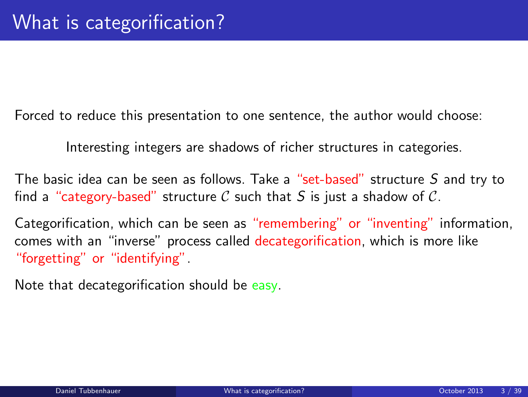Forced to reduce this presentation to one sentence, the author would choose:

Interesting integers are shadows of richer structures in categories.

The basic idea can be seen as follows. Take a "set-based" structure S and try to find a "category-based" structure C such that S is just a shadow of C.

Categorification, which can be seen as "remembering" or "inventing" information, comes with an "inverse" process called decategorification, which is more like "forgetting" or "identifying".

<span id="page-2-0"></span>Note that decategorification should be easy.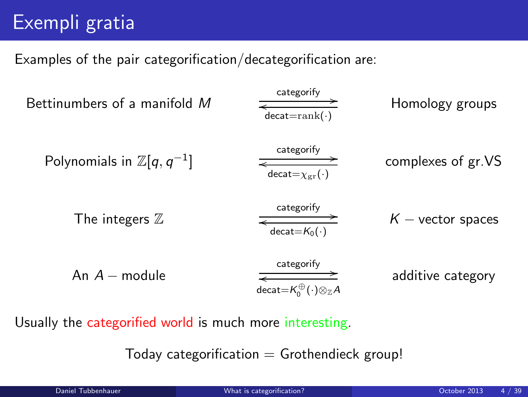# Exempli gratia

Examples of the pair categorification/decategorification are:

| Between the image and the image and the image. | Between the image.                                                                                   |                    |
|------------------------------------------------|------------------------------------------------------------------------------------------------------|--------------------|
| Polynomials in $\mathbb{Z}[q, q^{-1}]$         | $\frac{Categorical = rank(\cdot)}{d \cdot C}$                                                        | Complexes of gr.VS |
| Time integers $\mathbb{Z}$                     | $\frac{c \cdot \text{categorify}}{d \cdot \text{cact} = K_0(\cdot)}$                                 | Keying             |
| And $A -$ module                               | $\frac{c \cdot \text{categorify}}{d \cdot \text{cact} = K_0^{\oplus}(\cdot) \otimes_{\mathbb{Z}} A}$ | additive category  |

Usually the categorified world is much more interesting.

Today categorification  $=$  Grothendieck group!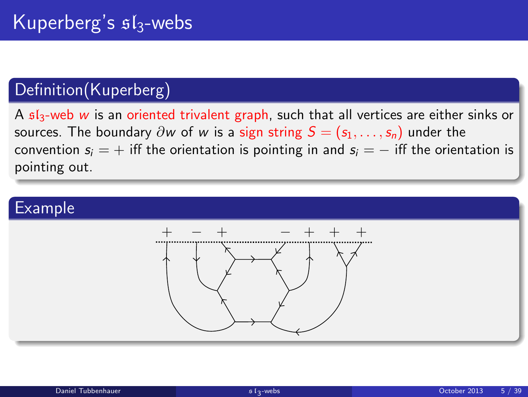## Definition(Kuperberg)

A  $sI_3$ -web w is an oriented trivalent graph, such that all vertices are either sinks or sources. The boundary  $\partial w$  of w is a sign string  $S = (s_1, \ldots, s_n)$  under the convention  $s_i = +$  iff the orientation is pointing in and  $s_i = -$  iff the orientation is pointing out.

<span id="page-4-0"></span>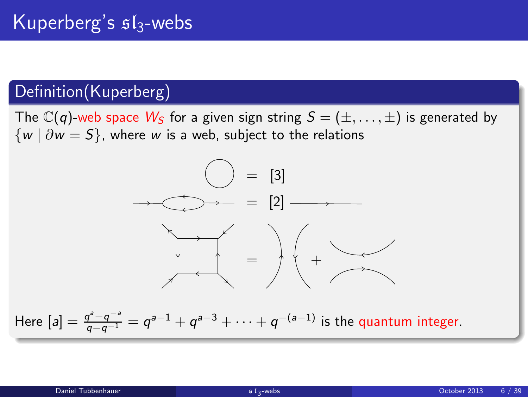## Definition(Kuperberg)

The  $\mathbb{C}(q)$ -web space  $W_S$  for a given sign string  $S = (\pm, \dots, \pm)$  is generated by  $\{w \mid \partial w = S\}$ , where w is a web, subject to the relations

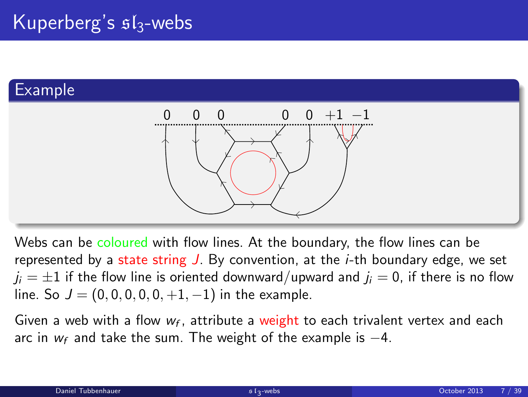# Example



Webs can be coloured with flow lines. At the boundary, the flow lines can be represented by a state string  $J$ . By convention, at the *i*-th boundary edge, we set  $j_i = \pm 1$  if the flow line is oriented downward/upward and  $j_i = 0$ , if there is no flow line. So  $J = (0, 0, 0, 0, 0, +1, -1)$  in the example.

Given a web with a flow  $w_f$ , attribute a weight to each trivalent vertex and each arc in  $w_f$  and take the sum. The weight of the example is  $-4$ .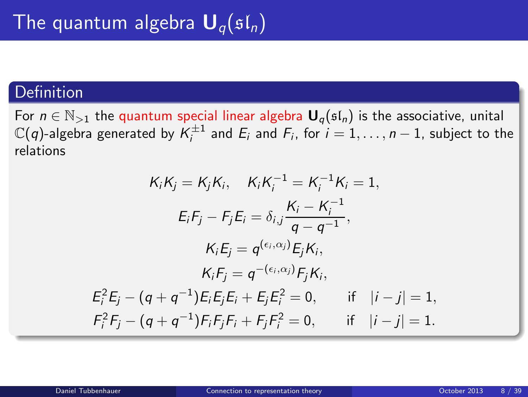### **Definition**

For  $n \in \mathbb{N}_{>1}$  the quantum special linear algebra  $\mathbf{U}_q(\mathfrak{sl}_n)$  is the associative, unital  $\mathbb{C}(q)$ -algebra generated by  $\mathcal{K}_i^{\pm 1}$  and  $E_i$  and  $F_i$ , for  $i=1,\ldots,n-1$ , subject to the relations

<span id="page-7-0"></span>
$$
K_i K_j = K_j K_i, \quad K_i K_i^{-1} = K_i^{-1} K_i = 1,
$$
  
\n
$$
E_i F_j - F_j E_i = \delta_{i,j} \frac{K_i - K_i^{-1}}{q - q^{-1}},
$$
  
\n
$$
K_i E_j = q^{(\epsilon_i, \alpha_j)} E_j K_i,
$$
  
\n
$$
K_i F_j = q^{-(\epsilon_i, \alpha_j)} F_j K_i,
$$
  
\n
$$
E_i^2 E_j - (q + q^{-1}) E_i E_j E_i + E_j E_i^2 = 0, \quad \text{if} \quad |i - j| = 1,
$$
  
\n
$$
F_i^2 F_j - (q + q^{-1}) F_i F_j F_i + F_j F_i^2 = 0, \quad \text{if} \quad |i - j| = 1.
$$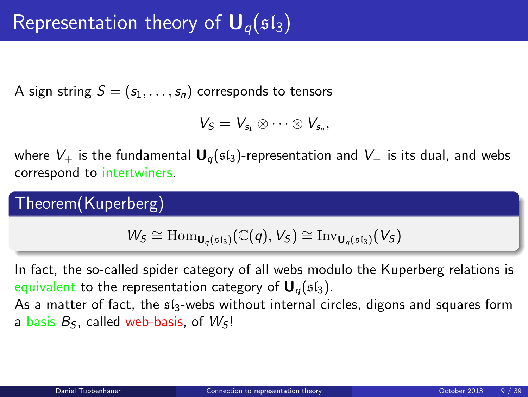A sign string  $S = (s_1, \ldots, s_n)$  corresponds to tensors

$$
V_S=V_{s_1}\otimes\cdots\otimes V_{s_n},
$$

where  $V_+$  is the fundamental  $U_q$ ( $\mathfrak{sl}_3$ )-representation and  $V_-$  is its dual, and webs correspond to intertwiners.

Theorem(Kuperberg)

 $W_S \cong \text{Hom}_{\mathbf{U}_q(\mathfrak{sl}_3)}(\mathbb{C}(q),V_S) \cong \text{Inv}_{\mathbf{U}_q(\mathfrak{sl}_3)}(V_S)$ 

In fact, the so-called spider category of all webs modulo the Kuperberg relations is equivalent to the representation category of  $U_{q}(\mathfrak{sl}_3)$ .

As a matter of fact, the  $\mathfrak{sl}_3$ -webs without internal circles, digons and squares form a basis  $B<sub>S</sub>$ , called web-basis, of  $W<sub>S</sub>$ !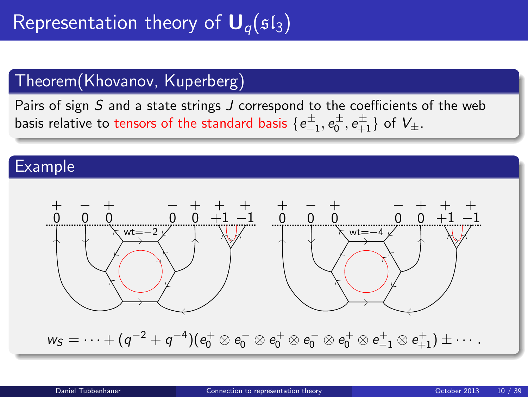# Theorem(Khovanov, Kuperberg)

Pairs of sign S and a state strings J correspond to the coefficients of the web basis relative to tensors of the standard basis  $\{e_{-1}^\pm,e_0^\pm,e_{+1}^\pm\}$  of  $V_\pm$ .

#### Example

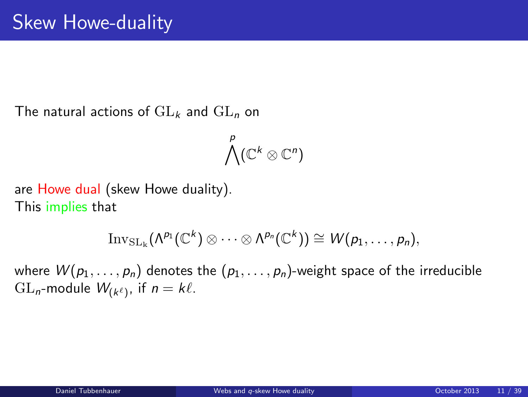The natural actions of  $GL_k$  and  $GL_n$  on

<span id="page-10-0"></span>
$$
\bigwedge^p(\mathbb{C}^k\otimes\mathbb{C}^n)
$$

are Howe dual (skew Howe duality). This implies that

$$
\mathrm{Inv}_{\mathrm{SL}_\mathbf{k}}(\Lambda^{p_1}(\mathbb{C}^k)\otimes\cdots\otimes\Lambda^{p_n}(\mathbb{C}^k))\cong W(p_1,\ldots,p_n),
$$

where  $W(p_1, \ldots, p_n)$  denotes the  $(p_1, \ldots, p_n)$ -weight space of the irreducible  $\operatorname{GL}_n$ -module  $W_{(k^{\ell})}$ , if  $n = k\ell$ .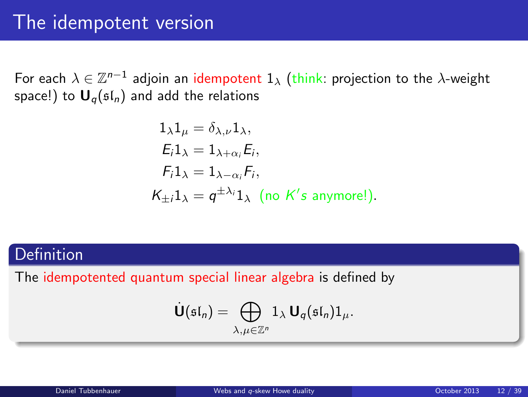For each  $\lambda\in\mathbb{Z}^{n-1}$  adjoin an idempotent  $1_\lambda$  (think: projection to the  $\lambda$ -weight space!) to  $\mathbf{U}_q(\mathfrak{sl}_n)$  and add the relations

$$
1_{\lambda}1_{\mu} = \delta_{\lambda,\nu}1_{\lambda},
$$
  
\n
$$
E_i1_{\lambda} = 1_{\lambda+\alpha_i}E_i,
$$
  
\n
$$
F_i1_{\lambda} = 1_{\lambda-\alpha_i}F_i,
$$
  
\n
$$
K_{\pm i}1_{\lambda} = q^{\pm \lambda_i}1_{\lambda} \text{ (no } K's \text{ anymore!)}.
$$

### Definition

The idempotented quantum special linear algebra is defined by

$$
\dot{\mathbf{U}}(\mathfrak{sl}_n)=\bigoplus_{\lambda,\mu\in\mathbb{Z}^n}1_\lambda\,\mathbf{U}_q(\mathfrak{sl}_n)1_\mu.
$$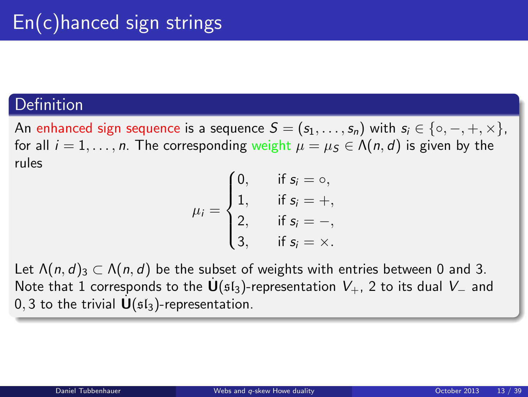#### Definition

An enhanced sign sequence is a sequence  $S = (s_1, \ldots, s_n)$  with  $s_i \in \{ \circ, -, +, \times \},$ for all  $i = 1, \ldots, n$ . The corresponding weight  $\mu = \mu_S \in \Lambda(n, d)$  is given by the rules

$$
\mu_i = \begin{cases}\n0, & \text{if } s_i = \circ, \\
1, & \text{if } s_i = +, \\
2, & \text{if } s_i = -, \\
3, & \text{if } s_i = \times.\n\end{cases}
$$

Let  $\Lambda(n, d)$ <sub>3</sub>  $\subset \Lambda(n, d)$  be the subset of weights with entries between 0 and 3. Note that 1 corresponds to the  $\dot{\mathbf{U}}$ ( $\mathfrak{sl}_3$ )-representation  $V_+$ , 2 to its dual  $V_-$  and 0, 3 to the trivial  $\dot{\mathbf{U}}(\mathfrak{sl}_3)$ -representation.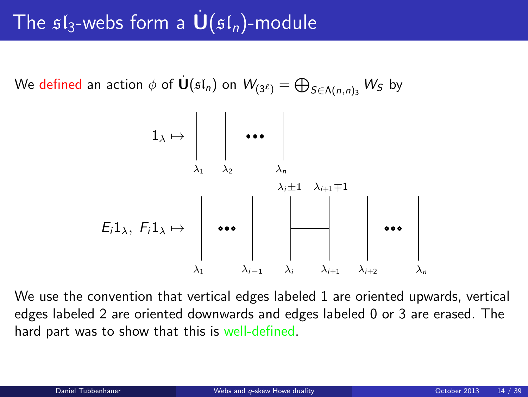# The  $sI_3$ -webs form a  $\mathbf{U}(sI_n)$ -module

We defined an action  $\phi$  of  $\dot{{\sf U}}(\mathfrak{sl}_n)$  on  $\mathcal{W}_{(3^\ell)}=\bigoplus_{S\in\Lambda(n,n)_3}\mathcal{W}_S$  by



We use the convention that vertical edges labeled 1 are oriented upwards, vertical edges labeled 2 are oriented downwards and edges labeled 0 or 3 are erased. The hard part was to show that this is well-defined.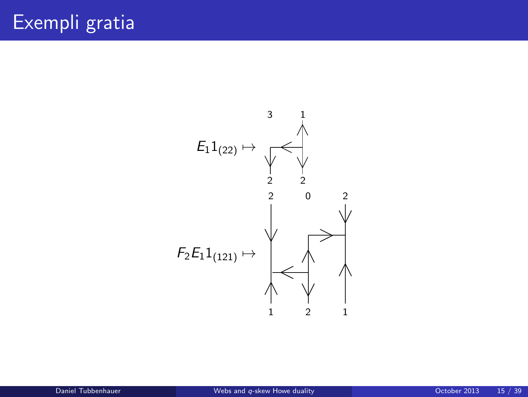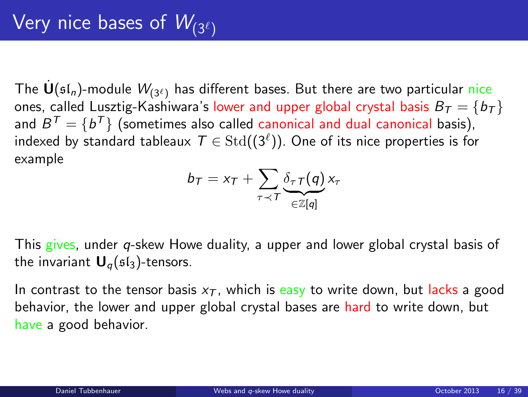The  $\mathbf{U}(\mathfrak{sl}_n)$ -module  $W_{(3^{\ell})}$  has different bases. But there are two particular nice ones, called Lusztig-Kashiwara's lower and upper global crystal basis  $B_T = \{b_T\}$ and  $B^{T}=\{b^{T}\}$  (sometimes also called canonical and dual canonical basis), indexed by standard tableaux  $\mathcal{T} \in \mathrm{Std}((3^\ell)).$  One of its nice properties is for example

$$
b_{\mathcal{T}} = x_{\mathcal{T}} + \sum_{\tau \prec \mathcal{T}} \underbrace{\delta_{\tau \mathcal{T}}(q)}_{\in \mathbb{Z}[q]} x_{\tau}
$$

This gives, under *q*-skew Howe duality, a upper and lower global crystal basis of the invariant  $U_{q}(sI_{3})$ -tensors.

In contrast to the tensor basis  $x<sub>T</sub>$ , which is easy to write down, but lacks a good behavior, the lower and upper global crystal bases are hard to write down, but have a good behavior.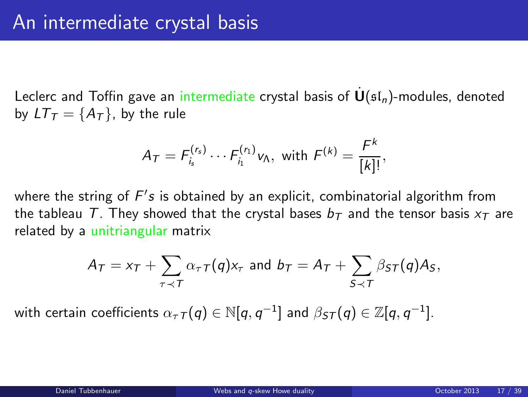Leclerc and Toffin gave an intermediate crystal basis of  $\mathbf{U}(\mathfrak{sl}_n)$ -modules, denoted by  $LT_{\tau} = \{A_{\tau}\}\$ , by the rule

$$
A_T = F_{i_s}^{(r_s)} \cdots F_{i_1}^{(r_1)} v_{\Lambda}, \text{ with } F^{(k)} = \frac{F^k}{[k]!},
$$

where the string of  $F's$  is obtained by an explicit, combinatorial algorithm from the tableau T. They showed that the crystal bases  $b<sub>T</sub>$  and the tensor basis  $x<sub>T</sub>$  are related by a unitriangular matrix

$$
A_T = x_T + \sum_{\tau \prec T} \alpha_{\tau} \tau(q) x_{\tau} \text{ and } b_T = A_T + \sum_{S \prec T} \beta_{ST}(q) A_S,
$$

with certain coefficients  $\alpha_\tau\tau(q)\in\mathbb{N}[q,q^{-1}]$  and  $\beta_{\textit{ST}}(q)\in\mathbb{Z}[q,q^{-1}].$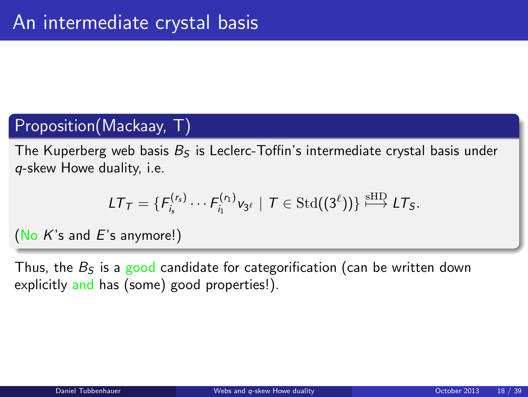### Proposition(Mackaay, T)

The Kuperberg web basis  $B_5$  is Leclerc-Toffin's intermediate crystal basis under q-skew Howe duality, i.e.

$$
LT_{\mathcal{T}} = \{F_{i_s}^{(r_s)} \cdots F_{i_1}^{(r_1)} v_{3^{\ell}} \mid \mathcal{T} \in \text{Std}((3^{\ell}))\} \stackrel{\text{stID}}{\longmapsto} LT_{\mathcal{S}}.
$$

(No  $K$ 's and  $E$ 's anymore!)

Thus, the  $B<sub>S</sub>$  is a good candidate for categorification (can be written down explicitly and has (some) good properties!).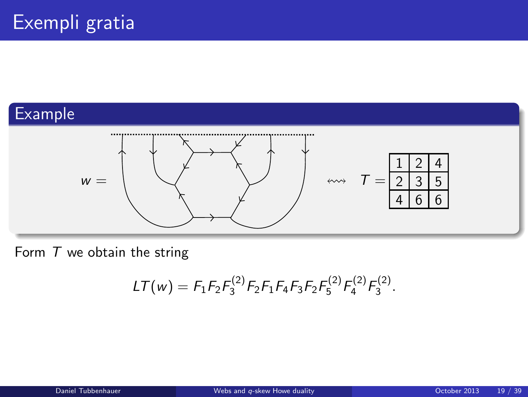## Example



Form  $T$  we obtain the string

$$
LT(w) = F_1 F_2 F_3^{(2)} F_2 F_1 F_4 F_3 F_2 F_5^{(2)} F_4^{(2)} F_3^{(2)}.
$$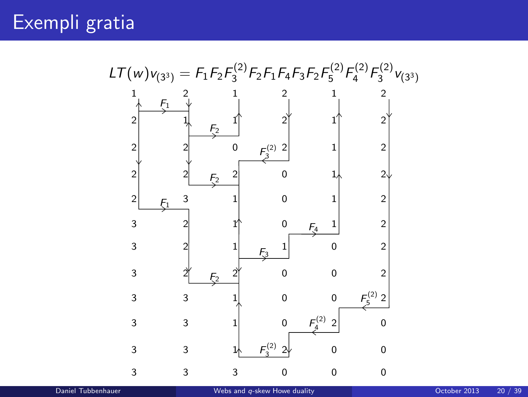Exempli gratia

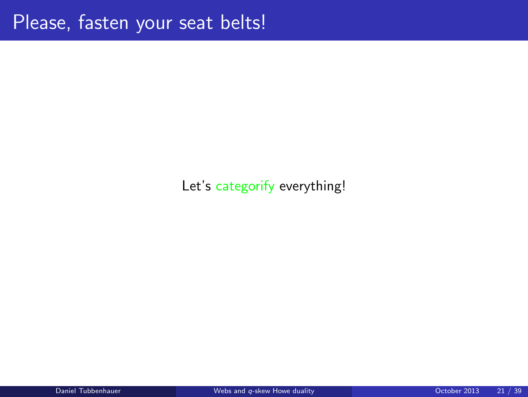### Let's categorify everything!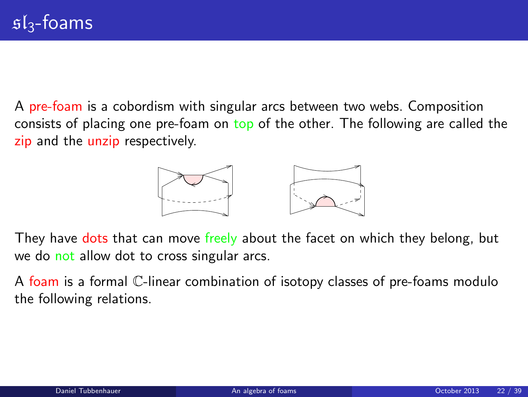A pre-foam is a cobordism with singular arcs between two webs. Composition consists of placing one pre-foam on top of the other. The following are called the zip and the unzip respectively.

<span id="page-21-0"></span>

They have dots that can move freely about the facet on which they belong, but we do not allow dot to cross singular arcs.

A foam is a formal C-linear combination of isotopy classes of pre-foams modulo the following relations.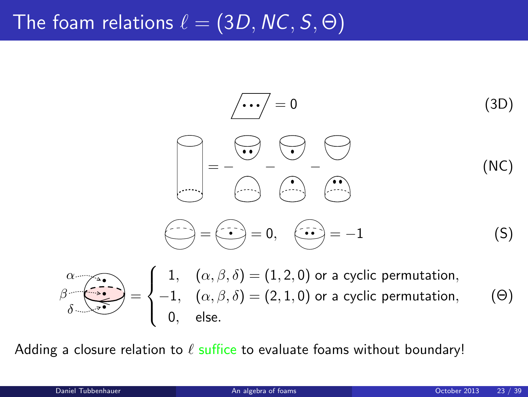# The foam relations  $\ell = (3D, NC, S, \Theta)$

$$
\begin{array}{ccc}\n&\overline{\cdots} = 0 & (3D) \\
&= & - & \overline{\cdots} & \overline{\cdots} \\
&= & - & - & \overline{\cdots} & \overline{\cdots} \\
&= & - & - & \overline{\cdots} & \overline{\cdots} \\
&= & - & - & \overline{\cdots} & \overline{\cdots} \\
\hline\n&= & - & \overline{\cdots} & \overline{\cdots} \\
&= & - & \overline{\cdots} & \overline{\cdots} \\
&= & 0, & \overline{\cdots} & = -1 & (S)\n\end{array}
$$

$$
\beta \overbrace{\delta \rightarrow 0}^{\alpha} = \begin{cases} 1, & (\alpha, \beta, \delta) = (1, 2, 0) \text{ or a cyclic permutation,} \\ -1, & (\alpha, \beta, \delta) = (2, 1, 0) \text{ or a cyclic permutation,} \\ 0, & \text{else.} \end{cases} \tag{0}
$$

Adding a closure relation to  $\ell$  suffice to evaluate foams without boundary!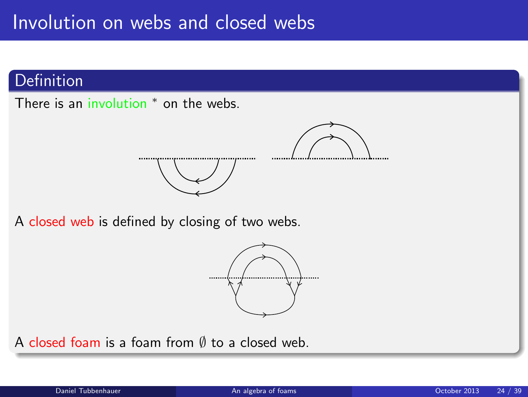### **Definition**

There is an involution <sup>\*</sup> on the webs.



A closed web is defined by closing of two webs.



A closed foam is a foam from ∅ to a closed web.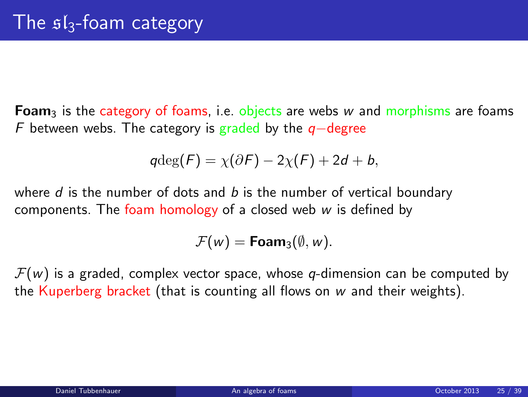**Foam**<sub>3</sub> is the category of foams, i.e. objects are webs w and morphisms are foams F between webs. The category is graded by the  $q$ −degree

$$
qdeg(F) = \chi(\partial F) - 2\chi(F) + 2d + b,
$$

where  $d$  is the number of dots and  $b$  is the number of vertical boundary components. The foam homology of a closed web  $w$  is defined by

$$
\mathcal{F}(w) = \text{Foam}_3(\emptyset, w).
$$

 $\mathcal{F}(w)$  is a graded, complex vector space, whose q-dimension can be computed by the Kuperberg bracket (that is counting all flows on  $w$  and their weights).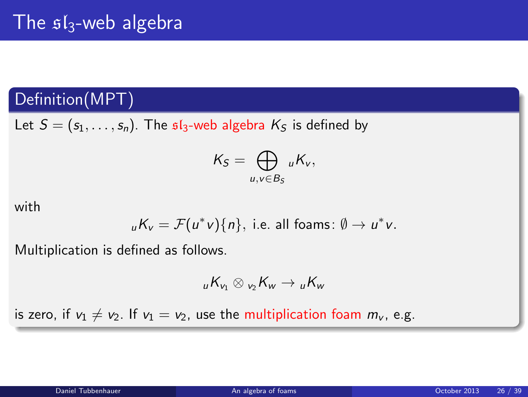## Definition(MPT)

Let  $S = (s_1, \ldots, s_n)$ . The  $sI_3$ -web algebra  $K_S$  is defined by

$$
K_S=\bigoplus_{u,v\in B_S} {}_uK_v,
$$

with

$$
_{u}K_{v}=\mathcal{F}(u^{*}v)\{n\},
$$
 i.e. all foams:  $\emptyset \to u^{*}v$ .

Multiplication is defined as follows.

$$
{}_{u}K_{v_1}\otimes{}_{v_2}K_{w}\to {}_{u}K_{w}
$$

is zero, if  $v_1 \neq v_2$ . If  $v_1 = v_2$ , use the multiplication foam  $m_v$ , e.g.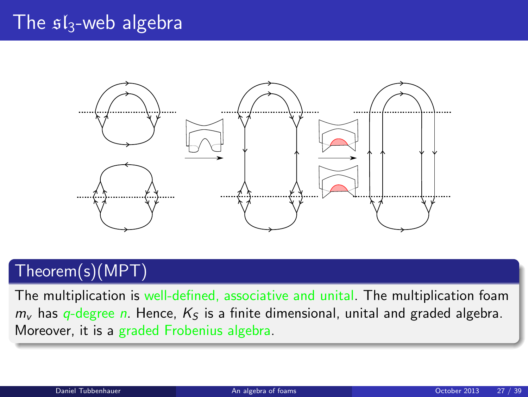# The  $sI_3$ -web algebra



# Theorem(s)(MPT)

The multiplication is well-defined, associative and unital. The multiplication foam  $m<sub>v</sub>$  has q-degree n. Hence,  $K<sub>S</sub>$  is a finite dimensional, unital and graded algebra. Moreover, it is a graded Frobenius algebra.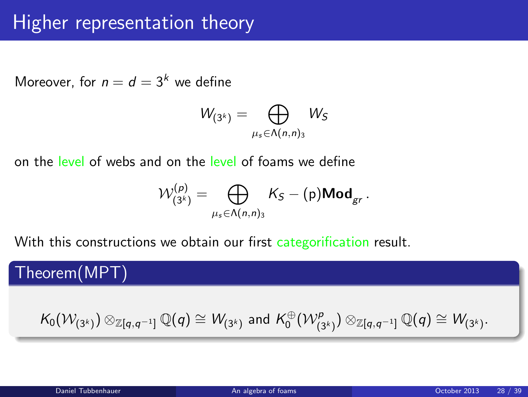# Higher representation theory

Moreover, for  $n = d = 3<sup>k</sup>$  we define

$$
W_{(3^k)}=\bigoplus_{\mu_s\in \Lambda(n,n)_3}W_S
$$

on the level of webs and on the level of foams we define

$$
\mathcal{W}^{(p)}_{(3^k)} = \bigoplus_{\mu_s \in \Lambda(n,n)_3} K_S - (\mathrm{p}) \mathsf{Mod}_{gr}.
$$

With this constructions we obtain our first categorification result.

Theorem(MPT)

$$
\mathcal{K}_0(\mathcal{W}_{(3^k)}) \otimes_{\mathbb{Z} [q,q^{-1}]} \mathbb{Q}(q) \cong \mathcal{W}_{(3^k)} \text{ and } \mathcal{K}_0^{\oplus}(\mathcal{W}_{(3^k)}^p) \otimes_{\mathbb{Z} [q,q^{-1}]} \mathbb{Q}(q) \cong \mathcal{W}_{(3^k)}.
$$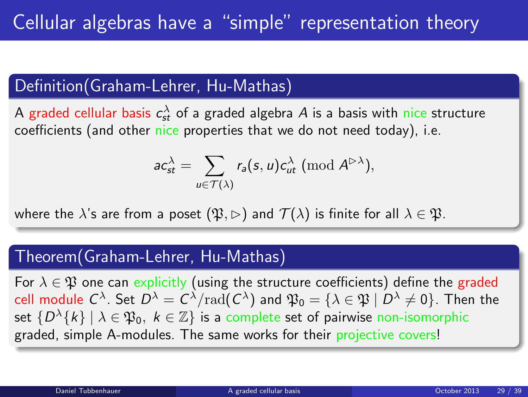### Definition(Graham-Lehrer, Hu-Mathas)

A graded cellular basis  $c_{st}^{\lambda}$  of a graded algebra  $A$  is a basis with nice structure coefficients (and other nice properties that we do not need today), i.e.

<span id="page-28-0"></span>
$$
ac_{st}^{\lambda} = \sum_{u \in \mathcal{T}(\lambda)} r_a(s, u) c_{ut}^{\lambda} \; (\text{mod } A^{\triangleright \lambda}),
$$

where the  $\lambda$ 's are from a poset  $(\mathfrak{P}, \rhd)$  and  $\mathcal{T}(\lambda)$  is finite for all  $\lambda \in \mathfrak{P}$ .

### Theorem(Graham-Lehrer, Hu-Mathas)

For  $\lambda \in \mathfrak{P}$  one can explicitly (using the structure coefficients) define the graded cell module  $C^\lambda.$  Set  $D^\lambda=C^\lambda/{\rm rad}(C^\lambda)$  and  $\mathfrak{P}_0=\{\lambda\in\mathfrak{P}\mid D^\lambda\neq 0\}.$  Then the set  $\{D^{\lambda}\{k\}\ |\ \lambda\in\mathfrak{P}_0,\ k\in\mathbb{Z}\}$  is a complete set of pairwise non-isomorphic graded, simple A-modules. The same works for their projective covers!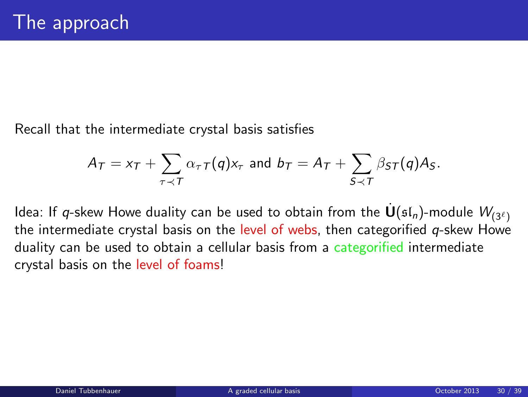Recall that the intermediate crystal basis satisfies

$$
A_T = x_T + \sum_{\tau \prec T} \alpha_{\tau} \tau(q) x_{\tau} \text{ and } b_T = A_T + \sum_{S \prec T} \beta_{ST}(q) A_S.
$$

Idea: If q-skew Howe duality can be used to obtain from the  $\dot{\mathbf{U}}(\mathfrak{sl}_n)$ -module  $W_{(3^{\ell})}$ the intermediate crystal basis on the level of webs, then categorified  $q$ -skew Howe duality can be used to obtain a cellular basis from a categorified intermediate crystal basis on the level of foams!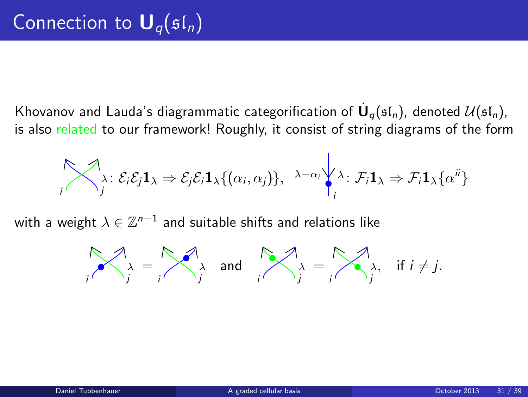Khovanov and Lauda's diagrammatic categorification of  $\dot{\mathsf{U}}_q(\mathfrak{sl}_n)$ , denoted  $\mathcal{U}(\mathfrak{sl}_n)$ , is also related to our framework! Roughly, it consist of string diagrams of the form

$$
\bigotimes_i \lambda_i : \mathcal{E}_i \mathcal{E}_j \mathbf{1}_{\lambda} \Rightarrow \mathcal{E}_j \mathcal{E}_i \mathbf{1}_{\lambda} \{(\alpha_i, \alpha_j)\}, \lambda - \alpha_i \bigvee_i \lambda_i : \mathcal{F}_i \mathbf{1}_{\lambda} \Rightarrow \mathcal{F}_i \mathbf{1}_{\lambda} \{\alpha^{ij}\}
$$

with a weight  $\lambda\in\mathbb{Z}^{n-1}$  and suitable shifts and relations like

$$
\bigwedge_i \lambda_i = \bigwedge_j \lambda \text{ and } \bigwedge_j \lambda_j = \bigwedge_j \lambda, \text{ if } i \neq j.
$$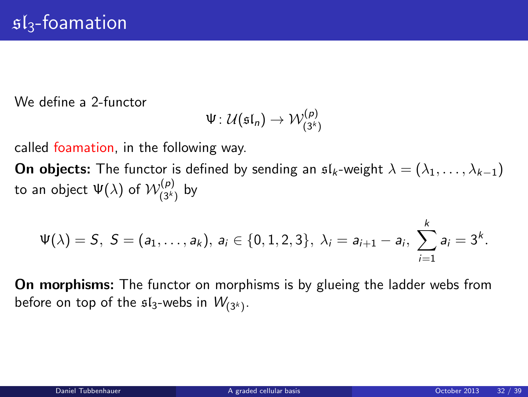We define a 2-functor

$$
\Psi\colon\mathcal{U}(\mathfrak{sl}_n)\to\mathcal{W}^{(p)}_{(3^k)}
$$

called foamation, in the following way.

**On objects:** The functor is defined by sending an  $\mathfrak{sl}_k$ -weight  $\lambda = (\lambda_1, \ldots, \lambda_{k-1})$ to an object  $\Psi(\lambda)$  of  $\mathcal{W}_{(3^k)}^{(p)}$  $_{(3<sup>k</sup>)}^{(P)}$  by

$$
\Psi(\lambda)=S, S=(a_1,\ldots,a_k), a_i\in\{0,1,2,3\}, \lambda_i=a_{i+1}-a_i, \sum_{i=1}^k a_i=3^k.
$$

On morphisms: The functor on morphisms is by glueing the ladder webs from before on top of the  $\mathfrak{sl}_3$ -webs in  $W_{(3^k)}.$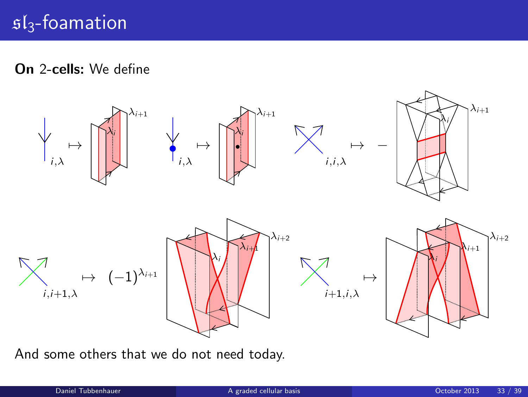On 2-cells: We define



And some others that we do not need today.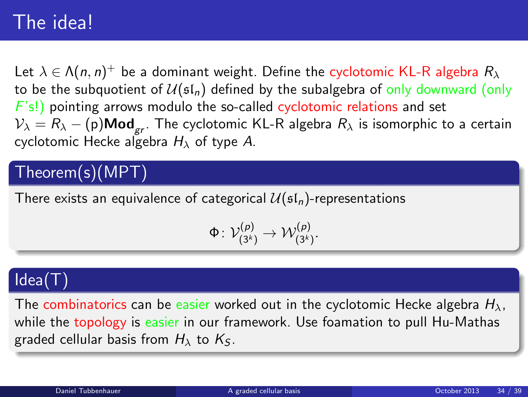# The idea!

Let  $\lambda\in\Lambda(n,n)^+$  be a dominant weight. Define the cyclotomic KL-R algebra  $R_\lambda$ to be the subquotient of  $U(\mathfrak{sl}_n)$  defined by the subalgebra of only downward (only  $F(s!)$  pointing arrows modulo the so-called cyclotomic relations and set  $V_{\lambda} = R_{\lambda} - (p) \text{Mod}_{gr}$ . The cyclotomic KL-R algebra  $R_{\lambda}$  is isomorphic to a certain cyclotomic Hecke algebra  $H_{\lambda}$  of type A.

# Theorem(s)(MPT)

There exists an equivalence of categorical  $U(\mathfrak{sl}_n)$ -representations

$$
\Phi\colon \mathcal{V}_{(3^k)}^{(p)}\rightarrow \mathcal{W}_{(3^k)}^{(p)}.
$$

### Idea(T)

The combinatorics can be easier worked out in the cyclotomic Hecke algebra  $H_{\lambda}$ , while the topology is easier in our framework. Use foamation to pull Hu-Mathas graded cellular basis from  $H_{\lambda}$  to  $K_{S}$ .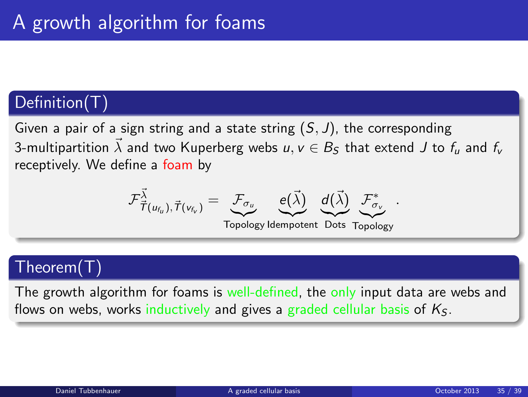### Definition(T)

Given a pair of a sign string and a state string  $(S, J)$ , the corresponding 3-multipartition  $\vec{\lambda}$  and two Kuperberg webs  $u, v \in B_S$  that extend J to  $f_u$  and  $f_v$ receptively. We define a foam by

$$
\mathcal{F}_{\vec{\mathcal{T}}(u_{f_u}), \vec{\mathcal{T}}(v_{f_v})}^{\vec{\lambda}} = \underbrace{\mathcal{F}_{\sigma_u}}_{\text{max}} \quad \underbrace{e(\vec{\lambda})}_{\text{max}} \quad \underbrace{d(\vec{\lambda})}_{\text{max}} \quad \mathcal{F}_{\sigma_v}^*
$$

Topology Idempotent Dots Topology

.

### Theorem(T)

The growth algorithm for foams is well-defined, the only input data are webs and flows on webs, works inductively and gives a graded cellular basis of  $K<sub>S</sub>$ .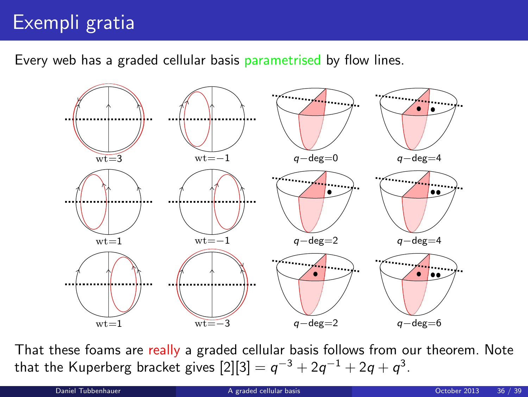# Exempli gratia

Every web has a graded cellular basis parametrised by flow lines.



That these foams are really a graded cellular basis follows from our theorem. Note that the Kuperberg bracket gives  $[2][3]=q^{-3}+2q^{-1}+2q+q^{3}.$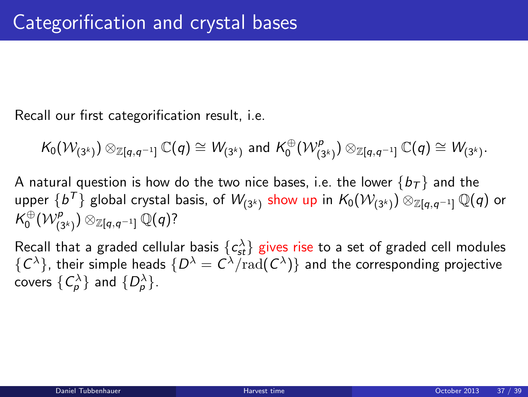Recall our first categorification result, i.e.

$$
\mathcal{K}_0(\mathcal{W}_{(3^k)}) \otimes_{\mathbb{Z}[q,q^{-1}]} \mathbb{C}(q) \cong \mathcal{W}_{(3^k)} \text{ and } \mathcal{K}_0^{\oplus}(\mathcal{W}_{(3^k)}^p) \otimes_{\mathbb{Z}[q,q^{-1}]} \mathbb{C}(q) \cong \mathcal{W}_{(3^k)}.
$$

A natural question is how do the two nice bases, i.e. the lower  $\{b_{\mathcal{T}}\}$  and the upper  $\{b^{\mathcal{T}}\}$  global crystal basis, of  $\mathcal{W}_{(3^k)}$  show up in  $\mathcal{K}_0(\mathcal{W}_{(3^k)})\otimes_{\mathbb{Z}[q,q^{-1}]} \mathbb{Q}(q)$  or  $\mathcal{K}^{\oplus}_0(\mathcal{W}^{\rho}_{(3^k)})\otimes_{\mathbb{Z}[q,q^{-1}]}\mathbb{Q}(q)?$ 

<span id="page-36-0"></span>Recall that a graded cellular basis  $\{c_{\textit{st}}^{\lambda}\}$  gives rise to a set of graded cell modules  $\{C^\lambda\}$ , their simple heads  $\{D^\lambda=C^\lambda/\mathrm{rad}(C^\lambda)\}$  and the corresponding projective covers  $\{ \mathcal{C}_{\rho}^{\lambda} \}$  and  $\{ \mathcal{D}_{\rho}^{\lambda} \}$ .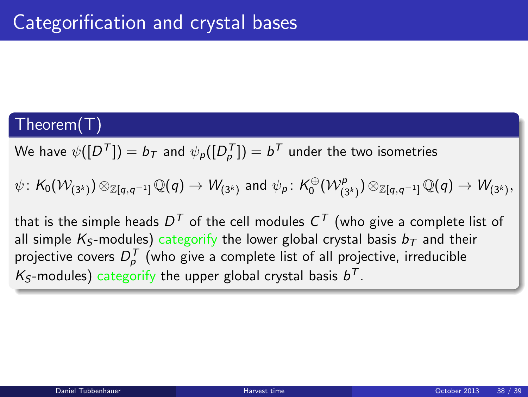## Theorem(T)

We have  $\psi([D^{\mathcal{T}}]) = b_{\mathcal{T}}$  and  $\psi_\mathcal{P}([D_\mathcal{P}^{\mathcal{T}}]) = b^{\mathcal{T}}$  under the two isometries

 $\psi\colon \mathcal{K}_0(\mathcal{W}_{(3^k)})\otimes_{\mathbb{Z}[q,q^{-1}]}\mathbb{Q}(q) \rightarrow \mathcal{W}_{(3^k)}$  and  $\psi_\mathcal{P}\colon \mathcal{K}_0^{\oplus}(\mathcal{W}_{(3^k)}^\mathcal{P})\otimes_{\mathbb{Z}[q,q^{-1}]}\mathbb{Q}(q) \rightarrow \mathcal{W}_{(3^k)},$ 

that is the simple heads  $D^\mathcal{T}$  of the cell modules  $\mathcal{C}^\mathcal{T}$  (who give a complete list of all simple  $K_S$ -modules) categorify the lower global crystal basis  $b<sub>T</sub>$  and their projective covers  $D_\rho^{\mathcal T}$  (who give a complete list of all projective, irreducible  $K_S$ -modules) categorify the upper global crystal basis  $b^T$ .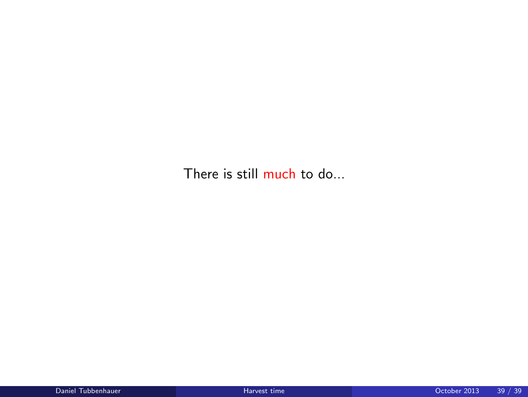There is still much to do...